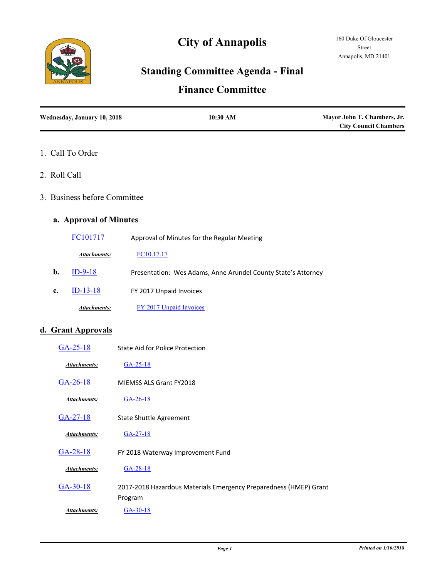

# **City of Annapolis**

## **Standing Committee Agenda - Final**

### **Finance Committee**

| Wednesday, January 10, 2018 | 10:30 AM | Mayor John T. Chambers, Jr.<br><b>City Council Chambers</b> |  |
|-----------------------------|----------|-------------------------------------------------------------|--|
|                             |          |                                                             |  |

- 1. Call To Order
- 2. Roll Call
- 3. Business before Committee

#### **a. Approval of Minutes**

|    | FC101717            | Approval of Minutes for the Regular Meeting                   |
|----|---------------------|---------------------------------------------------------------|
|    | <b>Attachments:</b> | FC10.17.17                                                    |
| b. | $ID-9-18$           | Presentation: Wes Adams, Anne Arundel County State's Attorney |
| c. | $ID-13-18$          | FY 2017 Unpaid Invoices                                       |
|    | <b>Attachments:</b> | FY 2017 Unpaid Invoices                                       |

#### **d. Grant Approvals**

| $GA-25-18$          | State Aid for Police Protection                                              |
|---------------------|------------------------------------------------------------------------------|
| Attachments:        | $GA-25-18$                                                                   |
| $GA-26-18$          | MIEMSS ALS Grant FY2018                                                      |
| <b>Attachments:</b> | $GA-26-18$                                                                   |
| $GA-27-18$          | <b>State Shuttle Agreement</b>                                               |
| Attachments:        | $GA-27-18$                                                                   |
| $GA-28-18$          | FY 2018 Waterway Improvement Fund                                            |
| Attachments:        | $GA-28-18$                                                                   |
| $GA-30-18$          | 2017-2018 Hazardous Materials Emergency Preparedness (HMEP) Grant<br>Program |
| Attachments:        | $GA-30-18$                                                                   |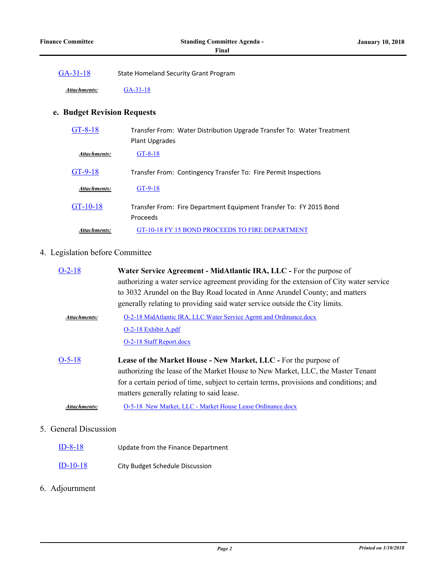[GA-31-18](http://annapolismd.legistar.com/gateway.aspx?m=l&id=/matter.aspx?key=3472) State Homeland Security Grant Program

*Attachments:* [GA-31-18](http://annapolismd.legistar.com/gateway.aspx?M=F&ID=26d9f270-976f-4973-92dd-87ba48da810b.pdf)

#### **e. Budget Revision Requests**

| $GT-8-18$           | Transfer From: Water Distribution Upgrade Transfer To: Water Treatment<br>Plant Upgrades |
|---------------------|------------------------------------------------------------------------------------------|
| <b>Attachments:</b> | $GT-8-18$                                                                                |
| $GT-9-18$           | Transfer From: Contingency Transfer To: Fire Permit Inspections                          |
| <b>Attachments:</b> | $GT-9-18$                                                                                |
| $GT-10-18$          | Transfer From: Fire Department Equipment Transfer To: FY 2015 Bond<br>Proceeds           |
| Attachments:        | GT-10-18 FY 15 BOND PROCEEDS TO FIRE DEPARTMENT                                          |

#### 4. Legislation before Committee

| $O-2-18$            | Water Service Agreement - MidAtlantic IRA, LLC - For the purpose of                     |
|---------------------|-----------------------------------------------------------------------------------------|
|                     | authorizing a water service agreement providing for the extension of City water service |
|                     | to 3032 Arundel on the Bay Road located in Anne Arundel County; and matters             |
|                     | generally relating to providing said water service outside the City limits.             |
| <b>Attachments:</b> | O-2-18 MidAtlantic IRA, LLC Water Service Agrmt and Ordinance.docx                      |
|                     | O-2-18 Exhibit A.pdf                                                                    |
|                     | O-2-18 Staff Report.docx                                                                |
| $O-5-18$            | Lease of the Market House - New Market, LLC - For the purpose of                        |
|                     | authorizing the lease of the Market House to New Market, LLC, the Master Tenant         |
|                     | for a certain period of time, subject to certain terms, provisions and conditions; and  |
|                     | matters generally relating to said lease.                                               |
| Attachments:        | O-5-18 New Market, LLC - Market House Lease Ordinance.docx                              |
|                     |                                                                                         |

#### 5. General Discussion

- [ID-8-18](http://annapolismd.legistar.com/gateway.aspx?m=l&id=/matter.aspx?key=3457) Update from the Finance Department
- [ID-10-18](http://annapolismd.legistar.com/gateway.aspx?m=l&id=/matter.aspx?key=3463) City Budget Schedule Discussion

#### 6. Adjournment